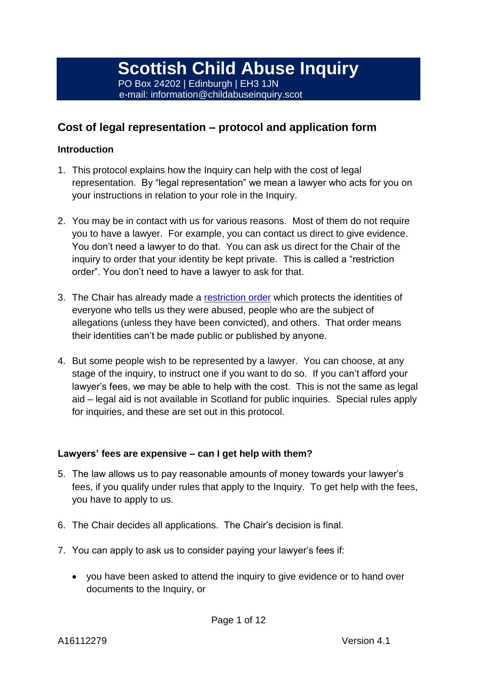### **Cost of legal representation – protocol and application form**

### **Introduction**

- 1. This protocol explains how the Inquiry can help with the cost of legal representation. By "legal representation" we mean a lawyer who acts for you on your instructions in relation to your role in the Inquiry.
- 2. You may be in contact with us for various reasons. Most of them do not require you to have a lawyer. For example, you can contact us direct to give evidence. You don't need a lawyer to do that. You can ask us direct for the Chair of the inquiry to order that your identity be kept private. This is called a "restriction order". You don't need to have a lawyer to ask for that.
- 3. The Chair has already made a [restriction order](https://www.childabuseinquiry.scot/media/2997/general-restriction-order-180620-current.pdf) which protects the identities of everyone who tells us they were abused, people who are the subject of allegations (unless they have been convicted), and others. That order means their identities can't be made public or published by anyone.
- 4. But some people wish to be represented by a lawyer. You can choose, at any stage of the inquiry, to instruct one if you want to do so. If you can't afford your lawyer's fees, we may be able to help with the cost. This is not the same as legal aid – legal aid is not available in Scotland for public inquiries. Special rules apply for inquiries, and these are set out in this protocol.

### **Lawyers' fees are expensive – can I get help with them?**

- 5. The law allows us to pay reasonable amounts of money towards your lawyer's fees, if you qualify under rules that apply to the Inquiry. To get help with the fees, you have to apply to us.
- 6. The Chair decides all applications. The Chair's decision is final.
- 7. You can apply to ask us to consider paying your lawyer's fees if:
	- you have been asked to attend the inquiry to give evidence or to hand over documents to the Inquiry, or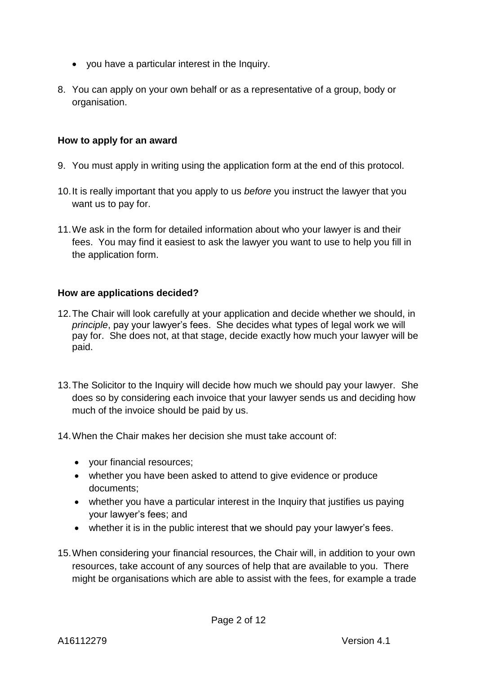- you have a particular interest in the Inquiry.
- 8. You can apply on your own behalf or as a representative of a group, body or organisation.

#### **How to apply for an award**

- 9. You must apply in writing using the application form at the end of this protocol.
- 10.It is really important that you apply to us *before* you instruct the lawyer that you want us to pay for.
- 11.We ask in the form for detailed information about who your lawyer is and their fees. You may find it easiest to ask the lawyer you want to use to help you fill in the application form.

#### **How are applications decided?**

- 12.The Chair will look carefully at your application and decide whether we should, in *principle*, pay your lawyer's fees. She decides what types of legal work we will pay for. She does not, at that stage, decide exactly how much your lawyer will be paid.
- 13.The Solicitor to the Inquiry will decide how much we should pay your lawyer. She does so by considering each invoice that your lawyer sends us and deciding how much of the invoice should be paid by us.
- 14.When the Chair makes her decision she must take account of:
	- vour financial resources:
	- whether you have been asked to attend to give evidence or produce documents;
	- whether you have a particular interest in the Inquiry that justifies us paying your lawyer's fees; and
	- whether it is in the public interest that we should pay your lawyer's fees.
- 15.When considering your financial resources, the Chair will, in addition to your own resources, take account of any sources of help that are available to you. There might be organisations which are able to assist with the fees, for example a trade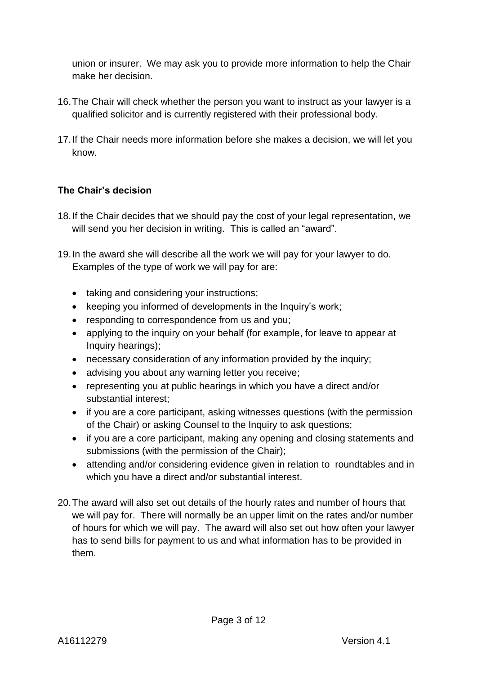union or insurer. We may ask you to provide more information to help the Chair make her decision.

- 16.The Chair will check whether the person you want to instruct as your lawyer is a qualified solicitor and is currently registered with their professional body.
- 17.If the Chair needs more information before she makes a decision, we will let you know.

### **The Chair's decision**

- 18.If the Chair decides that we should pay the cost of your legal representation, we will send you her decision in writing. This is called an "award".
- 19.In the award she will describe all the work we will pay for your lawyer to do. Examples of the type of work we will pay for are:
	- taking and considering your instructions;
	- keeping you informed of developments in the Inquiry's work;
	- responding to correspondence from us and you;
	- applying to the inquiry on your behalf (for example, for leave to appear at Inquiry hearings);
	- necessary consideration of any information provided by the inquiry;
	- advising you about any warning letter you receive;
	- representing you at public hearings in which you have a direct and/or substantial interest;
	- if you are a core participant, asking witnesses questions (with the permission of the Chair) or asking Counsel to the Inquiry to ask questions;
	- if you are a core participant, making any opening and closing statements and submissions (with the permission of the Chair);
	- attending and/or considering evidence given in relation to roundtables and in which you have a direct and/or substantial interest.
- 20.The award will also set out details of the hourly rates and number of hours that we will pay for. There will normally be an upper limit on the rates and/or number of hours for which we will pay. The award will also set out how often your lawyer has to send bills for payment to us and what information has to be provided in them.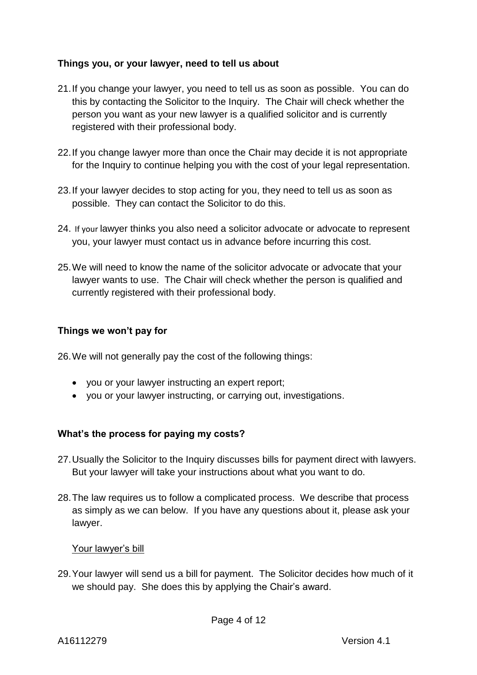### **Things you, or your lawyer, need to tell us about**

- 21.If you change your lawyer, you need to tell us as soon as possible. You can do this by contacting the Solicitor to the Inquiry. The Chair will check whether the person you want as your new lawyer is a qualified solicitor and is currently registered with their professional body.
- 22.If you change lawyer more than once the Chair may decide it is not appropriate for the Inquiry to continue helping you with the cost of your legal representation.
- 23.If your lawyer decides to stop acting for you, they need to tell us as soon as possible. They can contact the Solicitor to do this.
- 24. If your lawyer thinks you also need a solicitor advocate or advocate to represent you, your lawyer must contact us in advance before incurring this cost.
- 25.We will need to know the name of the solicitor advocate or advocate that your lawyer wants to use. The Chair will check whether the person is qualified and currently registered with their professional body.

### **Things we won't pay for**

26.We will not generally pay the cost of the following things:

- you or your lawyer instructing an expert report;
- you or your lawyer instructing, or carrying out, investigations.

### **What's the process for paying my costs?**

- 27.Usually the Solicitor to the Inquiry discusses bills for payment direct with lawyers. But your lawyer will take your instructions about what you want to do.
- 28.The law requires us to follow a complicated process. We describe that process as simply as we can below. If you have any questions about it, please ask your lawyer.

#### Your lawyer's bill

29.Your lawyer will send us a bill for payment. The Solicitor decides how much of it we should pay. She does this by applying the Chair's award.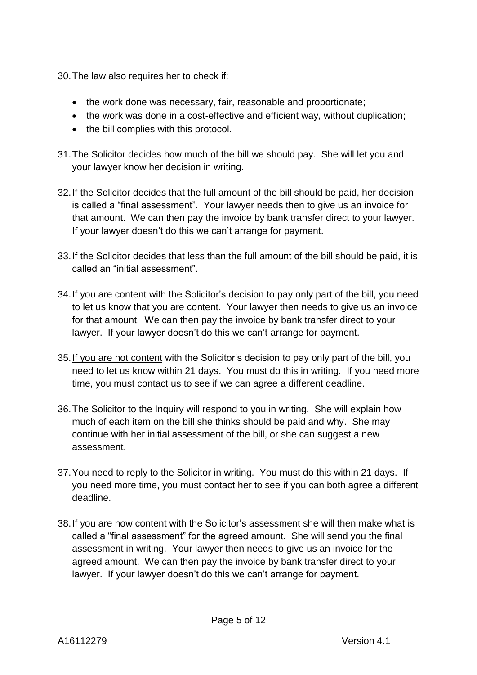30.The law also requires her to check if:

- the work done was necessary, fair, reasonable and proportionate;
- the work was done in a cost-effective and efficient way, without duplication;
- the bill complies with this protocol.
- 31.The Solicitor decides how much of the bill we should pay. She will let you and your lawyer know her decision in writing.
- 32.If the Solicitor decides that the full amount of the bill should be paid, her decision is called a "final assessment". Your lawyer needs then to give us an invoice for that amount. We can then pay the invoice by bank transfer direct to your lawyer. If your lawyer doesn't do this we can't arrange for payment.
- 33.If the Solicitor decides that less than the full amount of the bill should be paid, it is called an "initial assessment".
- 34.If you are content with the Solicitor's decision to pay only part of the bill, you need to let us know that you are content. Your lawyer then needs to give us an invoice for that amount. We can then pay the invoice by bank transfer direct to your lawyer. If your lawyer doesn't do this we can't arrange for payment.
- 35.If you are not content with the Solicitor's decision to pay only part of the bill, you need to let us know within 21 days. You must do this in writing. If you need more time, you must contact us to see if we can agree a different deadline.
- 36.The Solicitor to the Inquiry will respond to you in writing. She will explain how much of each item on the bill she thinks should be paid and why. She may continue with her initial assessment of the bill, or she can suggest a new assessment.
- 37.You need to reply to the Solicitor in writing. You must do this within 21 days. If you need more time, you must contact her to see if you can both agree a different deadline.
- 38.If you are now content with the Solicitor's assessment she will then make what is called a "final assessment" for the agreed amount. She will send you the final assessment in writing. Your lawyer then needs to give us an invoice for the agreed amount. We can then pay the invoice by bank transfer direct to your lawyer. If your lawyer doesn't do this we can't arrange for payment.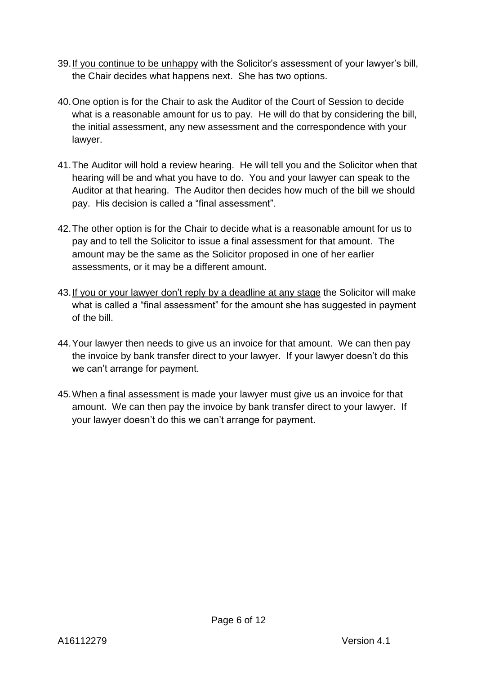- 39.If you continue to be unhappy with the Solicitor's assessment of your lawyer's bill, the Chair decides what happens next. She has two options.
- 40.One option is for the Chair to ask the Auditor of the Court of Session to decide what is a reasonable amount for us to pay. He will do that by considering the bill, the initial assessment, any new assessment and the correspondence with your lawyer.
- 41.The Auditor will hold a review hearing. He will tell you and the Solicitor when that hearing will be and what you have to do. You and your lawyer can speak to the Auditor at that hearing. The Auditor then decides how much of the bill we should pay. His decision is called a "final assessment".
- 42.The other option is for the Chair to decide what is a reasonable amount for us to pay and to tell the Solicitor to issue a final assessment for that amount. The amount may be the same as the Solicitor proposed in one of her earlier assessments, or it may be a different amount.
- 43.If you or your lawyer don't reply by a deadline at any stage the Solicitor will make what is called a "final assessment" for the amount she has suggested in payment of the bill.
- 44.Your lawyer then needs to give us an invoice for that amount. We can then pay the invoice by bank transfer direct to your lawyer. If your lawyer doesn't do this we can't arrange for payment.
- 45.When a final assessment is made your lawyer must give us an invoice for that amount. We can then pay the invoice by bank transfer direct to your lawyer. If your lawyer doesn't do this we can't arrange for payment.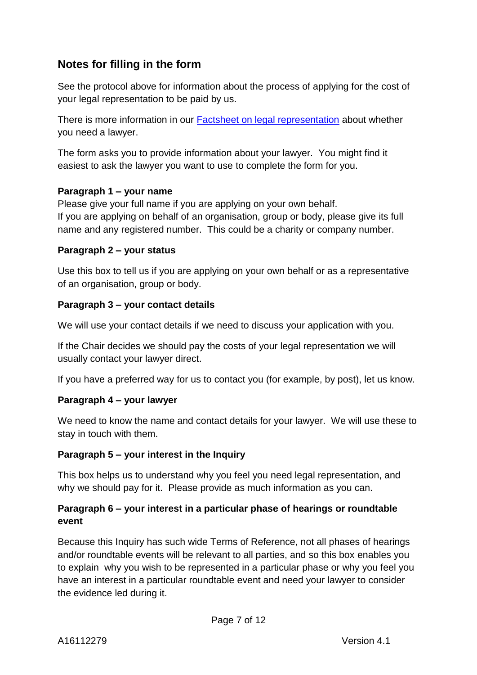## **Notes for filling in the form**

See the protocol above for information about the process of applying for the cost of your legal representation to be paid by us.

There is more information in our [Factsheet on legal representation](https://www.childabuseinquiry.scot/key-documents/factsheet-legal-representation/) about whether you need a lawyer.

The form asks you to provide information about your lawyer. You might find it easiest to ask the lawyer you want to use to complete the form for you.

### **Paragraph 1 – your name**

Please give your full name if you are applying on your own behalf. If you are applying on behalf of an organisation, group or body, please give its full name and any registered number. This could be a charity or company number.

### **Paragraph 2 – your status**

Use this box to tell us if you are applying on your own behalf or as a representative of an organisation, group or body.

### **Paragraph 3 – your contact details**

We will use your contact details if we need to discuss your application with you.

If the Chair decides we should pay the costs of your legal representation we will usually contact your lawyer direct.

If you have a preferred way for us to contact you (for example, by post), let us know.

### **Paragraph 4 – your lawyer**

We need to know the name and contact details for your lawyer. We will use these to stay in touch with them.

### **Paragraph 5 – your interest in the Inquiry**

This box helps us to understand why you feel you need legal representation, and why we should pay for it. Please provide as much information as you can.

### **Paragraph 6 – your interest in a particular phase of hearings or roundtable event**

Because this Inquiry has such wide Terms of Reference, not all phases of hearings and/or roundtable events will be relevant to all parties, and so this box enables you to explain why you wish to be represented in a particular phase or why you feel you have an interest in a particular roundtable event and need your lawyer to consider the evidence led during it.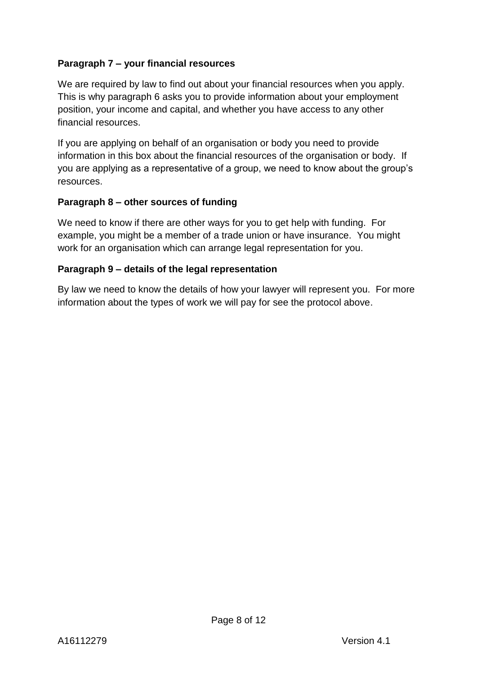### **Paragraph 7 – your financial resources**

We are required by law to find out about your financial resources when you apply. This is why paragraph 6 asks you to provide information about your employment position, your income and capital, and whether you have access to any other financial resources.

If you are applying on behalf of an organisation or body you need to provide information in this box about the financial resources of the organisation or body. If you are applying as a representative of a group, we need to know about the group's resources.

#### **Paragraph 8 – other sources of funding**

We need to know if there are other ways for you to get help with funding. For example, you might be a member of a trade union or have insurance. You might work for an organisation which can arrange legal representation for you.

#### **Paragraph 9 – details of the legal representation**

By law we need to know the details of how your lawyer will represent you. For more information about the types of work we will pay for see the protocol above.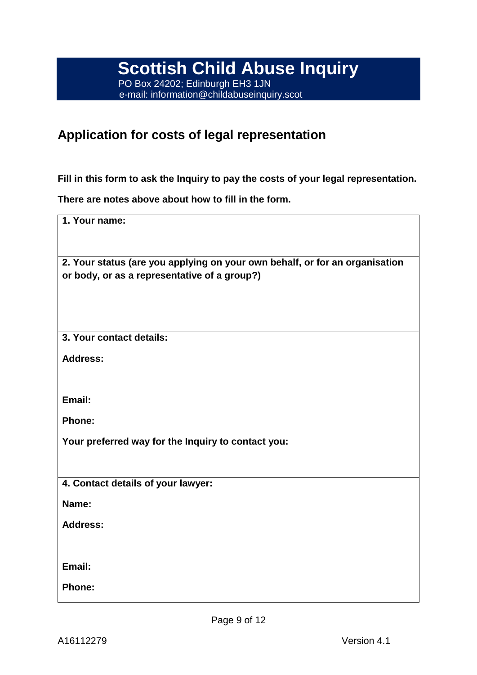# **Application for costs of legal representation**

**Fill in this form to ask the Inquiry to pay the costs of your legal representation.** 

**There are notes above about how to fill in the form.**

| 1. Your name:                                                                                                               |
|-----------------------------------------------------------------------------------------------------------------------------|
| 2. Your status (are you applying on your own behalf, or for an organisation<br>or body, or as a representative of a group?) |
| 3. Your contact details:                                                                                                    |
| <b>Address:</b>                                                                                                             |
| Email:                                                                                                                      |
| <b>Phone:</b>                                                                                                               |
| Your preferred way for the Inquiry to contact you:                                                                          |
|                                                                                                                             |
| 4. Contact details of your lawyer:<br>Name:                                                                                 |
| <b>Address:</b>                                                                                                             |
|                                                                                                                             |
| Email:                                                                                                                      |
| <b>Phone:</b>                                                                                                               |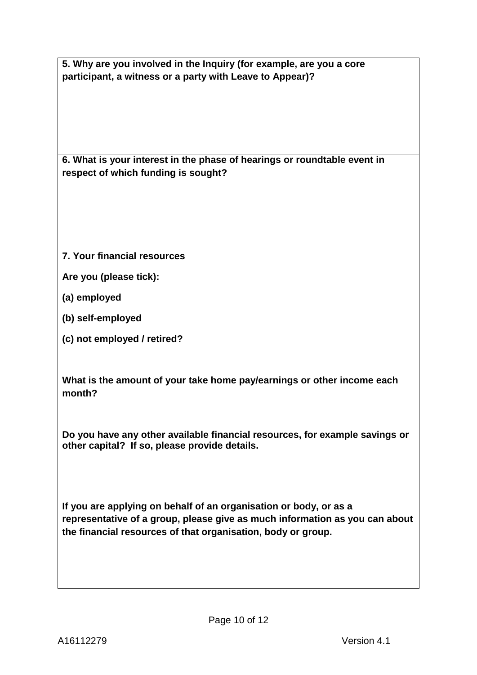**5. Why are you involved in the Inquiry (for example, are you a core participant, a witness or a party with Leave to Appear)?**

**6. What is your interest in the phase of hearings or roundtable event in respect of which funding is sought?**

**7. Your financial resources**

**Are you (please tick):**

**(a) employed**

**(b) self-employed**

**(c) not employed / retired?**

**What is the amount of your take home pay/earnings or other income each month?**

**Do you have any other available financial resources, for example savings or other capital? If so, please provide details.**

**If you are applying on behalf of an organisation or body, or as a representative of a group, please give as much information as you can about the financial resources of that organisation, body or group.**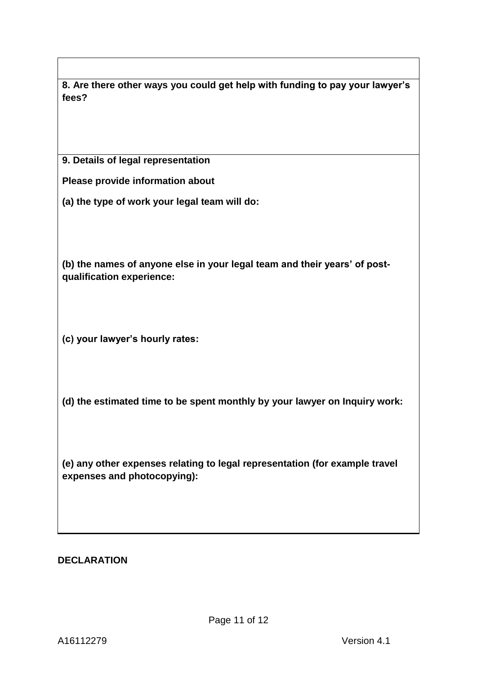| 8. Are there other ways you could get help with funding to pay your lawyer's |
|------------------------------------------------------------------------------|
| fees?                                                                        |
|                                                                              |
|                                                                              |

**9. Details of legal representation**

**Please provide information about**

**(a) the type of work your legal team will do:** 

**(b) the names of anyone else in your legal team and their years' of postqualification experience:**

**(c) your lawyer's hourly rates:**

**(d) the estimated time to be spent monthly by your lawyer on Inquiry work:**

**(e) any other expenses relating to legal representation (for example travel expenses and photocopying):**

### **DECLARATION**